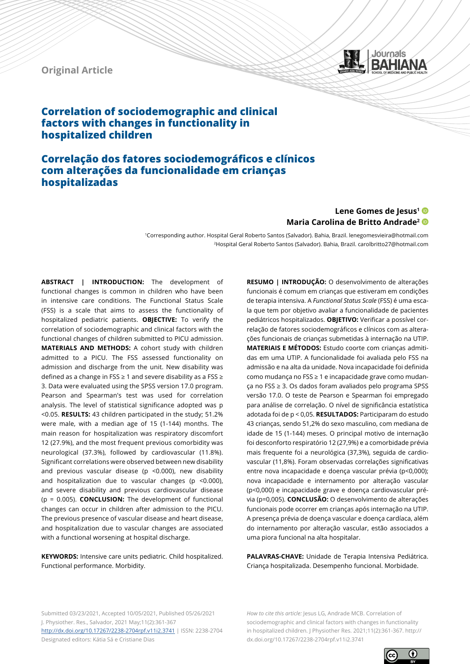# **Original Article**



# **Correlation of sociodemographic and clinical factors with changes in functionality in hospitalized children**

# **Correlação dos fatores sociodemográficos e clínicos com alterações da funcionalidade em crianças hospitalizadas**

# Lene Gomes de Jesus<sup>1</sup><sup>®</sup> **Maria Carolina de Britto Andrade2**

<sup>1</sup>Corresponding author. Hospital Geral Roberto Santos (Salvador). Bahia, Brazil. lenegomesvieira@hotmail.com 2Hospital Geral Roberto Santos (Salvador). Bahia, Brazil. carolbritto27@hotmail.com

**ABSTRACT | INTRODUCTION:** The development of functional changes is common in children who have been in intensive care conditions. The Functional Status Scale (FSS) is a scale that aims to assess the functionality of hospitalized pediatric patients. **OBJECTIVE:** To verify the correlation of sociodemographic and clinical factors with the functional changes of children submitted to PICU admission. **MATERIALS AND METHODS:** A cohort study with children admitted to a PICU. The FSS assessed functionality on admission and discharge from the unit. New disability was defined as a change in FSS ≥ 1 and severe disability as a FSS ≥ 3. Data were evaluated using the SPSS version 17.0 program. Pearson and Spearman's test was used for correlation analysis. The level of statistical significance adopted was p <0.05. **RESULTS:** 43 children participated in the study; 51.2% were male, with a median age of 15 (1-144) months. The main reason for hospitalization was respiratory discomfort 12 (27.9%), and the most frequent previous comorbidity was neurological (37.3%), followed by cardiovascular (11.8%). Significant correlations were observed between new disability and previous vascular disease (p <0.000), new disability and hospitalization due to vascular changes (p <0.000), and severe disability and previous cardiovascular disease (p = 0.005). **CONCLUSION:** The development of functional changes can occur in children after admission to the PICU. The previous presence of vascular disease and heart disease, and hospitalization due to vascular changes are associated with a functional worsening at hospital discharge.

**KEYWORDS:** Intensive care units pediatric. Child hospitalized. Functional performance. Morbidity.

**RESUMO | INTRODUÇÃO:** O desenvolvimento de alterações funcionais é comum em crianças que estiveram em condições de terapia intensiva. A *Functional Status Scale* (FSS) é uma escala que tem por objetivo avaliar a funcionalidade de pacientes pediátricos hospitalizados. **OBJETIVO:** Verificar a possível correlação de fatores sociodemográficos e clínicos com as alterações funcionais de crianças submetidas à internação na UTIP. **MATERIAIS E MÉTODOS:** Estudo coorte com crianças admitidas em uma UTIP. A funcionalidade foi avaliada pelo FSS na admissão e na alta da unidade. Nova incapacidade foi definida como mudança no FSS ≥ 1 e incapacidade grave como mudança no FSS ≥ 3. Os dados foram avaliados pelo programa SPSS versão 17.0. O teste de Pearson e Spearman foi empregado para análise de correlação. O nível de significância estatística adotada foi de p < 0,05. **RESULTADOS:** Participaram do estudo 43 crianças, sendo 51,2% do sexo masculino, com mediana de idade de 15 (1-144) meses. O principal motivo de internação foi desconforto respiratório 12 (27,9%) e a comorbidade prévia mais frequente foi a neurológica (37,3%), seguida de cardiovascular (11,8%). Foram observadas correlações significativas entre nova incapacidade e doença vascular prévia (p<0,000); nova incapacidade e internamento por alteração vascular (p<0,000) e incapacidade grave e doença cardiovascular prévia (p=0,005). **CONCLUSÃO:** O desenvolvimento de alterações funcionais pode ocorrer em crianças após internação na UTIP. A presença prévia de doença vascular e doença cardíaca, além do internamento por alteração vascular, estão associados a uma piora funcional na alta hospitalar.

**PALAVRAS-CHAVE:** Unidade de Terapia Intensiva Pediátrica. Criança hospitalizada. Desempenho funcional. Morbidade.

Submitted 03/23/2021, Accepted 10/05/2021, Published 05/26/2021 J. Physiother. Res., Salvador, 2021 May;11(2):361-367 <http://dx.doi.org/10.17267/2238-2704rpf.v11i2.3741>| ISSN: 2238-2704 Designated editors: Kátia Sá e Cristiane Dias

*How to cite this article:* Jesus LG, Andrade MCB. Correlation of sociodemographic and clinical factors with changes in functionality in hospitalized children. J Physiother Res. 2021;11(2):361-367. http:// dx.doi.org/10.17267/2238-2704rpf.v11i2.3741

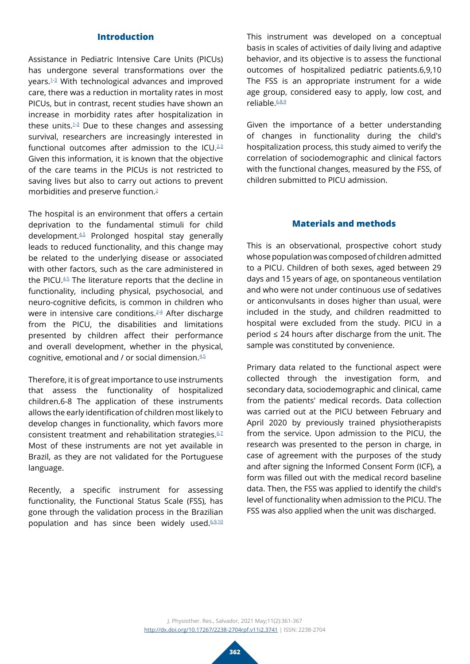# **Introduction**

Assistance in Pediatric Intensive Care Units (PICUs) has undergone several transformations over the years.[1](#page-5-0)-[3](#page-5-1) With technological advances and improved care, there was a reduction in mortality rates in most PICUs, but in contrast, recent studies have shown an increase in morbidity rates after hospitalization in these units. $1-3$  $1-3$  $1-3$  Due to these changes and assessing survival, researchers are increasingly interested in functional outcomes after admission to the ICU. $^{2,3}$  $^{2,3}$  $^{2,3}$  $^{2,3}$ Given this information, it is known that the objective of the care teams in the PICUs is not restricted to saving lives but also to carry out actions to prevent morbidities and preserve function.[2](#page-5-2)

The hospital is an environment that offers a certain deprivation to the fundamental stimuli for child development[.4,](#page-5-3)[5](#page-5-4) Prolonged hospital stay generally leads to reduced functionality, and this change may be related to the underlying disease or associated with other factors, such as the care administered in the PICU.<sup>[4](#page-5-3),[5](#page-5-4)</sup> The literature reports that the decline in functionality, including physical, psychosocial, and neuro-cognitive deficits, is common in children who were in intensive care conditions.<sup>[2](#page-5-2)-[4](#page-5-3)</sup> After discharge from the PICU, the disabilities and limitations presented by children affect their performance and overall development, whether in the physical, cognitive, emotional and / or social dimension.<sup>[4,](#page-5-3)[5](#page-5-4)</sup>

Therefore, it is of great importance to use instruments that assess the functionality of hospitalized children.6-8 The application of these instruments allows the early identification of children most likely to develop changes in functionality, which favors more consistent treatment and rehabilitation strategies.<sup>[6,](#page-5-5)2</sup> Most of these instruments are not yet available in Brazil, as they are not validated for the Portuguese language.

Recently, a specific instrument for assessing functionality, the Functional Status Scale (FSS), has gone through the validation process in the Brazilian population and has since been widely used.<sup>6,[9](#page-6-1),[10](#page-6-2)</sup> This instrument was developed on a conceptual basis in scales of activities of daily living and adaptive behavior, and its objective is to assess the functional outcomes of hospitalized pediatric patients.6,9,10 The FSS is an appropriate instrument for a wide age group, considered easy to apply, low cost, and reliable<sup>[6](#page-5-5),[8](#page-6-3),[9](#page-6-1)</sup>

Given the importance of a better understanding of changes in functionality during the child's hospitalization process, this study aimed to verify the correlation of sociodemographic and clinical factors with the functional changes, measured by the FSS, of children submitted to PICU admission.

### **Materials and methods**

This is an observational, prospective cohort study whose population was composed of children admitted to a PICU. Children of both sexes, aged between 29 days and 15 years of age, on spontaneous ventilation and who were not under continuous use of sedatives or anticonvulsants in doses higher than usual, were included in the study, and children readmitted to hospital were excluded from the study. PICU in a period ≤ 24 hours after discharge from the unit. The sample was constituted by convenience.

Primary data related to the functional aspect were collected through the investigation form, and secondary data, sociodemographic and clinical, came from the patients' medical records. Data collection was carried out at the PICU between February and April 2020 by previously trained physiotherapists from the service. Upon admission to the PICU, the research was presented to the person in charge, in case of agreement with the purposes of the study and after signing the Informed Consent Form (ICF), a form was filled out with the medical record baseline data. Then, the FSS was applied to identify the child's level of functionality when admission to the PICU. The FSS was also applied when the unit was discharged.

J. Physiother. Res., Salvador, 2021 May;11(2):361-367 <http://dx.doi.org/10.17267/2238-2704rpf.v11i2.3741> | ISSN: 2238-2704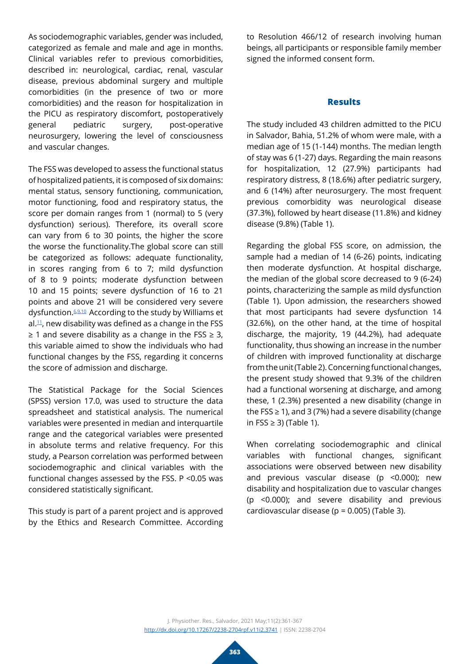As sociodemographic variables, gender was included, categorized as female and male and age in months. Clinical variables refer to previous comorbidities, described in: neurological, cardiac, renal, vascular disease, previous abdominal surgery and multiple comorbidities (in the presence of two or more comorbidities) and the reason for hospitalization in the PICU as respiratory discomfort, postoperatively general pediatric surgery, post-operative neurosurgery, lowering the level of consciousness and vascular changes.

The FSS was developed to assess the functional status of hospitalized patients, it is composed of six domains: mental status, sensory functioning, communication, motor functioning, food and respiratory status, the score per domain ranges from 1 (normal) to 5 (very dysfunction) serious). Therefore, its overall score can vary from 6 to 30 points, the higher the score the worse the functionality.The global score can still be categorized as follows: adequate functionality, in scores ranging from 6 to 7; mild dysfunction of 8 to 9 points; moderate dysfunction between 10 and 15 points; severe dysfunction of 16 to 21 points and above 21 will be considered very severe dysfunction[.6,](#page-5-5)[9](#page-6-1),[10](#page-6-2) According to the study by Williams et al. $11$ , new disability was defined as a change in the FSS  $≥$  1 and severe disability as a change in the FSS  $≥$  3, this variable aimed to show the individuals who had functional changes by the FSS, regarding it concerns the score of admission and discharge.

The Statistical Package for the Social Sciences (SPSS) version 17.0, was used to structure the data spreadsheet and statistical analysis. The numerical variables were presented in median and interquartile range and the categorical variables were presented in absolute terms and relative frequency. For this study, a Pearson correlation was performed between sociodemographic and clinical variables with the functional changes assessed by the FSS. P <0.05 was considered statistically significant.

This study is part of a parent project and is approved by the Ethics and Research Committee. According

to Resolution 466/12 of research involving human beings, all participants or responsible family member signed the informed consent form.

# **Results**

The study included 43 children admitted to the PICU in Salvador, Bahia, 51.2% of whom were male, with a median age of 15 (1-144) months. The median length of stay was 6 (1-27) days. Regarding the main reasons for hospitalization, 12 (27.9%) participants had respiratory distress, 8 (18.6%) after pediatric surgery, and 6 (14%) after neurosurgery. The most frequent previous comorbidity was neurological disease (37.3%), followed by heart disease (11.8%) and kidney disease (9.8%) (Table 1).

Regarding the global FSS score, on admission, the sample had a median of 14 (6-26) points, indicating then moderate dysfunction. At hospital discharge, the median of the global score decreased to 9 (6-24) points, characterizing the sample as mild dysfunction (Table 1). Upon admission, the researchers showed that most participants had severe dysfunction 14 (32.6%), on the other hand, at the time of hospital discharge, the majority, 19 (44.2%), had adequate functionality, thus showing an increase in the number of children with improved functionality at discharge from the unit (Table 2). Concerning functional changes, the present study showed that 9.3% of the children had a functional worsening at discharge, and among these, 1 (2.3%) presented a new disability (change in the FSS  $\geq$  1), and 3 (7%) had a severe disability (change in FSS ≥ 3) (Table 1).

When correlating sociodemographic and clinical variables with functional changes, significant associations were observed between new disability and previous vascular disease (p <0.000); new disability and hospitalization due to vascular changes (p <0.000); and severe disability and previous cardiovascular disease ( $p = 0.005$ ) (Table 3).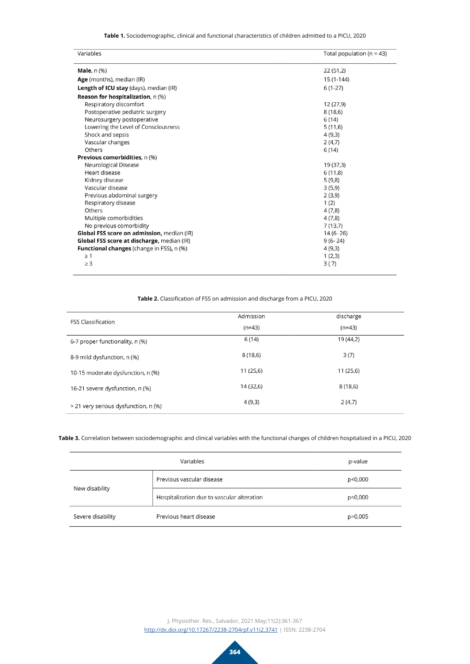**Table 1.** Sociodemographic, clinical and functional characteristics of children admitted to a PICU, 2020

| Variables                                        | Total population ( $n = 43$ ) |
|--------------------------------------------------|-------------------------------|
| <b>Male</b> , n (%)                              | 22(51,2)                      |
| Age (months), median (IR)                        | $15(1-144)$                   |
| Length of ICU stay (days), median (IR)           | $6(1-27)$                     |
| <b>Reason for hospitalization, n (%)</b>         |                               |
| Respiratory discomfort                           | 12 (27,9)                     |
| Postoperative pediatric surgery                  | 8(18,6)                       |
| Neurosurgery postoperative                       | 6(14)                         |
| Lowering the Level of Consciousness              | 5(11,6)                       |
| Shock and sepsis                                 | 4(9,3)                        |
| Vascular changes                                 | 2(4,7)                        |
| Others                                           | 6(14)                         |
| <b>Previous comorbidities</b> , n (%)            |                               |
| Neurological Disease                             | 19 (37,3)                     |
| Heart disease                                    | 6(11,8)                       |
| Kidney disease                                   | 5(9,8)                        |
| Vascular disease                                 | 3(5,9)                        |
| Previous abdominal surgery                       | 2(3,9)                        |
| Respiratory disease                              | 1(2)                          |
| Others                                           | 4(7,8)                        |
| Multiple comorbidities                           | 4(7,8)                        |
| No previous comorbidity                          | 7(13,7)                       |
| Global FSS score on admission, median (IR)       | $14(6-26)$                    |
| Global FSS score at discharge, median (IR)       | $9(6-24)$                     |
| <b>Functional changes</b> (change in FSS), n (%) | 4(9,3)                        |
| $\geq 1$                                         | 1(2,3)                        |
| $\geq$ 3                                         | 3(7)                          |

#### **Table 2.** Classification of FSS on admission and discharge from a PICU, 2020

| <b>FSS Classification</b>            | Admission | discharge |
|--------------------------------------|-----------|-----------|
|                                      | $(n=43)$  | $(n=43)$  |
| 6-7 proper functionality, n (%)      | 6 (14)    | 19 (44,2) |
| 8-9 mild dysfunction, n (%)          | 8(18,6)   | 3(7)      |
| 10-15 moderate dysfunction, n (%)    | 11(25,6)  | 11(25,6)  |
| 16-21 severe dysfunction, n (%)      | 14 (32,6) | 8 (18,6)  |
| > 21 very serious dysfunction, n (%) | 4 (9,3)   | 2(4,7)    |

#### **Table 3.** Correlation between sociodemographic and clinical variables with the functional changes of children hospitalized in a PICU, 2020

|                   | Variables                                  | p-value   |
|-------------------|--------------------------------------------|-----------|
| New disability    | Previous vascular disease                  | p<0,000   |
|                   | Hospitalization due to vascular alteration | p<0,000   |
| Severe disability | Previous heart disease                     | $p=0,005$ |

J. Physiother. Res., Salvador, 2021 May;11(2):361-367 <http://dx.doi.org/10.17267/2238-2704rpf.v11i2.3741> | ISSN: 2238-2704

**364**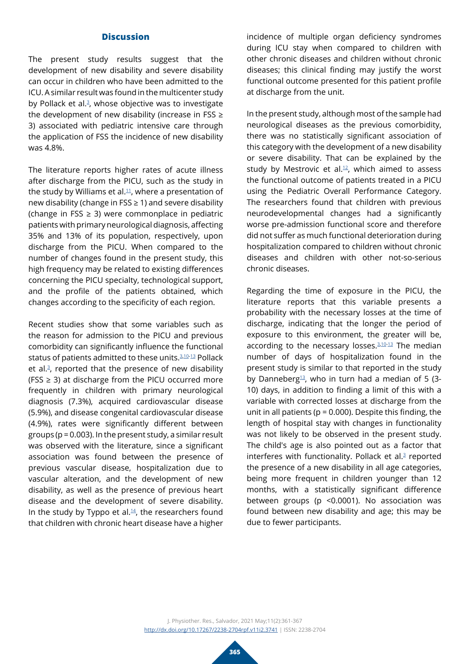# **Discussion**

The present study results suggest that the development of new disability and severe disability can occur in children who have been admitted to the ICU. A similar result was found in the multicenter study by Pollack et al.<sup>[3](#page-5-1)</sup>, whose objective was to investigate the development of new disability (increase in FSS  $\geq$ 3) associated with pediatric intensive care through the application of FSS the incidence of new disability was 4.8%.

The literature reports higher rates of acute illness after discharge from the PICU, such as the study in the study by Williams et al. $11$ , where a presentation of new disability (change in FSS ≥ 1) and severe disability (change in FSS  $\geq$  3) were commonplace in pediatric patients with primary neurological diagnosis, affecting 35% and 13% of its population, respectively, upon discharge from the PICU. When compared to the number of changes found in the present study, this high frequency may be related to existing differences concerning the PICU specialty, technological support, and the profile of the patients obtained, which changes according to the specificity of each region.

Recent studies show that some variables such as the reason for admission to the PICU and previous comorbidity can significantly influence the functional status of patients admitted to these units.<sup>[3](#page-5-1),[10](#page-6-2)[-13](#page-6-5)</sup> Pollack et al. $3$ , reported that the presence of new disability (FSS  $\geq$  3) at discharge from the PICU occurred more frequently in children with primary neurological diagnosis (7.3%), acquired cardiovascular disease (5.9%), and disease congenital cardiovascular disease (4.9%), rates were significantly different between groups (p = 0.003). In the present study, a similar result was observed with the literature, since a significant association was found between the presence of previous vascular disease, hospitalization due to vascular alteration, and the development of new disability, as well as the presence of previous heart disease and the development of severe disability. In the study by Typpo et al. $14$ , the researchers found that children with chronic heart disease have a higher

incidence of multiple organ deficiency syndromes during ICU stay when compared to children with other chronic diseases and children without chronic diseases; this clinical finding may justify the worst functional outcome presented for this patient profile at discharge from the unit.

In the present study, although most of the sample had neurological diseases as the previous comorbidity, there was no statistically significant association of this category with the development of a new disability or severe disability. That can be explained by the study by Mestrovic et al. $12$ , which aimed to assess the functional outcome of patients treated in a PICU using the Pediatric Overall Performance Category. The researchers found that children with previous neurodevelopmental changes had a significantly worse pre-admission functional score and therefore did not suffer as much functional deterioration during hospitalization compared to children without chronic diseases and children with other not-so-serious chronic diseases.

Regarding the time of exposure in the PICU, the literature reports that this variable presents a probability with the necessary losses at the time of discharge, indicating that the longer the period of exposure to this environment, the greater will be, according to the necessary losses.<sup>3,[10](#page-6-2)[-13](#page-6-5)</sup> The median number of days of hospitalization found in the present study is similar to that reported in the study by Danneberg<sup>13</sup>, who in turn had a median of 5 (3-10) days, in addition to finding a limit of this with a variable with corrected losses at discharge from the unit in all patients ( $p = 0.000$ ). Despite this finding, the length of hospital stay with changes in functionality was not likely to be observed in the present study. The child's age is also pointed out as a factor that interferes with functionality. Pollack et al. $3$  reported the presence of a new disability in all age categories, being more frequent in children younger than 12 months, with a statistically significant difference between groups (p <0.0001). No association was found between new disability and age; this may be due to fewer participants.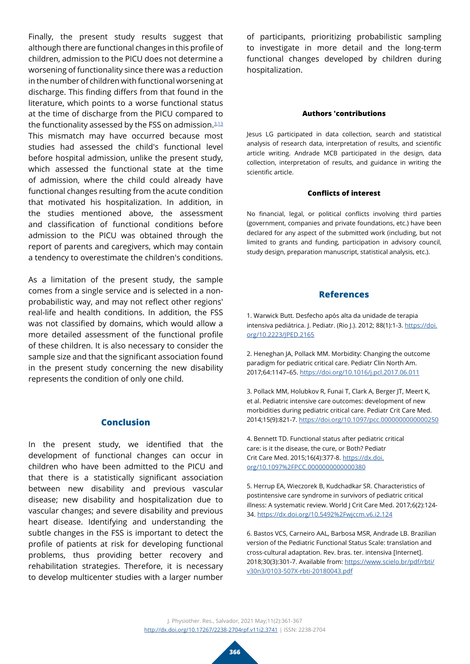Finally, the present study results suggest that although there are functional changes in this profile of children, admission to the PICU does not determine a worsening of functionality since there was a reduction in the number of children with functional worsening at discharge. This finding differs from that found in the literature, which points to a worse functional status at the time of discharge from the PICU compared to the functionality assessed by the FSS on admission.<sup>3,[13](#page-6-5)</sup> This mismatch may have occurred because most studies had assessed the child's functional level before hospital admission, unlike the present study, which assessed the functional state at the time of admission, where the child could already have functional changes resulting from the acute condition that motivated his hospitalization. In addition, in the studies mentioned above, the assessment and classification of functional conditions before admission to the PICU was obtained through the report of parents and caregivers, which may contain a tendency to overestimate the children's conditions.

As a limitation of the present study, the sample comes from a single service and is selected in a nonprobabilistic way, and may not reflect other regions' real-life and health conditions. In addition, the FSS was not classified by domains, which would allow a more detailed assessment of the functional profile of these children. It is also necessary to consider the sample size and that the significant association found in the present study concerning the new disability represents the condition of only one child.

# **Conclusion**

In the present study, we identified that the development of functional changes can occur in children who have been admitted to the PICU and that there is a statistically significant association between new disability and previous vascular disease; new disability and hospitalization due to vascular changes; and severe disability and previous heart disease. Identifying and understanding the subtle changes in the FSS is important to detect the profile of patients at risk for developing functional problems, thus providing better recovery and rehabilitation strategies. Therefore, it is necessary to develop multicenter studies with a larger number

of participants, prioritizing probabilistic sampling to investigate in more detail and the long-term functional changes developed by children during hospitalization.

#### **Authors 'contributions**

Jesus LG participated in data collection, search and statistical analysis of research data, interpretation of results, and scientific article writing. Andrade MCB participated in the design, data collection, interpretation of results, and guidance in writing the scientific article.

#### **Conflicts of interest**

No financial, legal, or political conflicts involving third parties (government, companies and private foundations, etc.) have been declared for any aspect of the submitted work (including, but not limited to grants and funding, participation in advisory council, study design, preparation manuscript, statistical analysis, etc.).

#### **References**

<span id="page-5-0"></span>1. Warwick Butt. Desfecho após alta da unidade de terapia intensiva pediátrica. J. Pediatr. (Rio J.). 2012; 88(1):1-3. [https://doi.](https://doi.org/10.2223/JPED.2165) [org/10.2223/JPED.2165](https://doi.org/10.2223/JPED.2165)

<span id="page-5-2"></span>2. Heneghan JA, Pollack MM. Morbidity: Changing the outcome paradigm for pediatric critical care. Pediatr Clin North Am. 2017;64:1147–65.<https://doi.org/10.1016/j.pcl.2017.06.011>

<span id="page-5-1"></span>3. Pollack MM, Holubkov R, Funai T, Clark A, Berger JT, Meert K, et al. Pediatric intensive care outcomes: development of new morbidities during pediatric critical care. Pediatr Crit Care Med. 2014;15(9):821-7. <https://doi.org/10.1097/pcc.0000000000000250>

<span id="page-5-3"></span>4. Bennett TD. Functional status after pediatric critical care: is it the disease, the cure, or Both? Pediatr Crit Care Med. 2015;16(4):377-8. [https://dx.doi.](https://dx.doi.org/10.1097%2FPCC.0000000000000380) [org/10.1097%2FPCC.0000000000000380](https://dx.doi.org/10.1097%2FPCC.0000000000000380)

<span id="page-5-4"></span>5. Herrup EA, Wieczorek B, Kudchadkar SR. Characteristics of postintensive care syndrome in survivors of pediatric critical illness: A systematic review. World J Crit Care Med. 2017;6(2):124- 34. <https://dx.doi.org/10.5492%2Fwjccm.v6.i2.124>

<span id="page-5-5"></span>6. Bastos VCS, Carneiro AAL, Barbosa MSR, Andrade LB. Brazilian version of the Pediatric Functional Status Scale: translation and cross-cultural adaptation. Rev. bras. ter. intensiva [Internet]. 2018;30(3):301-7. Available from: [https://www.scielo.br/pdf/rbti/](https://www.scielo.br/pdf/rbti/v30n3/0103-507X-rbti-20180043.pdf) [v30n3/0103-507X-rbti-20180043.pdf](https://www.scielo.br/pdf/rbti/v30n3/0103-507X-rbti-20180043.pdf)

J. Physiother. Res., Salvador, 2021 May;11(2):361-367 <http://dx.doi.org/10.17267/2238-2704rpf.v11i2.3741> | ISSN: 2238-2704

**366**